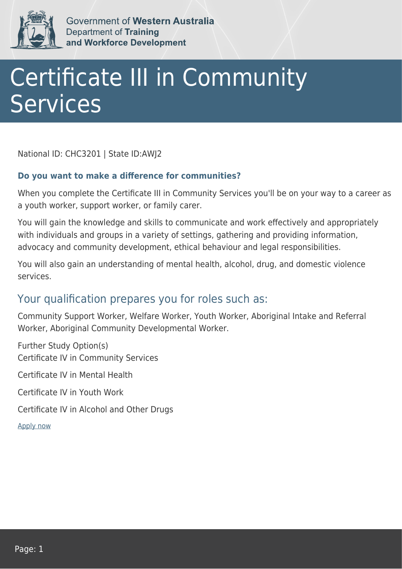

Government of Western Australia Department of Training and Workforce Development

## Certificate III in Community **Services**

National ID: CHC3201 | State ID:AWJ2

## **Do you want to make a difference for communities?**

When you complete the Certificate III in Community Services you'll be on your way to a career as a youth worker, support worker, or family carer.

You will gain the knowledge and skills to communicate and work effectively and appropriately with individuals and groups in a variety of settings, gathering and providing information, advocacy and community development, ethical behaviour and legal responsibilities.

You will also gain an understanding of mental health, alcohol, drug, and domestic violence services.

## Your qualification prepares you for roles such as:

Community Support Worker, Welfare Worker, Youth Worker, Aboriginal Intake and Referral Worker, Aboriginal Community Developmental Worker.

Further Study Option(s) Certificate IV in Community Services Certificate IV in Mental Health Certificate IV in Youth Work

Certificate IV in Alcohol and Other Drugs

[Apply now](https://tasonline.tafe.wa.edu.au/Default.aspx)